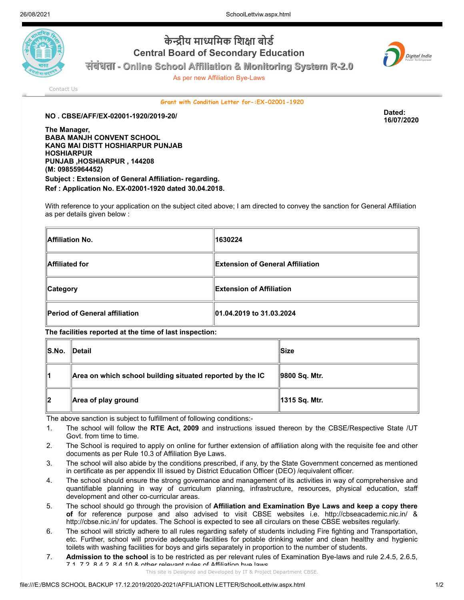

## **केन्द्री य मा ध्यमि क शि क्षा बो र्ड Central Board of Secondary Education**



**संसंसंबंसंबंबंधबं ताताताता - Online School Affiliation & Monitoring System R-2.0**

As per new Affiliation Bye-Laws

[Contact Us](http://cbseaff.nic.in/cbse_aff/help.aspx)

**Grant with Condition Letter for-:EX-02001-1920**

**NO . CBSE/AFF/EX-02001-1920/2019-20/ Dated:**

**The Manager, BABA MANJH CONVENT SCHOOL KANG MAI DISTT HOSHIARPUR PUNJAB HOSHIARPUR PUNJAB ,HOSHIARPUR , 144208 (M: 09855964452) Subject : Extension of General Affiliation- regarding. Ref : Application No. EX-02001-1920 dated 30.04.2018.**

With reference to your application on the subject cited above; I am directed to convey the sanction for General Affiliation as per details given below :

| Affiliation No.               | 1630224                           |  |
|-------------------------------|-----------------------------------|--|
| Affiliated for                | ∥Extension of General Affiliation |  |
| <b>Category</b>               | ∥Extension of Affiliation         |  |
| Period of General affiliation | 01.04.2019 to 31.03.2024          |  |

**The facilities reported at the time of last inspection:**

| ∥S.No. | ∥Detail                                                   | ∣Size         |
|--------|-----------------------------------------------------------|---------------|
| 11     | Area on which school building situated reported by the IC | 9800 Sq. Mtr. |
| 12     | Area of play ground                                       | 1315 Sq. Mtr. |

The above sanction is subject to fulfillment of following conditions:-

- 1. The school will follow the **RTE Act, 2009** and instructions issued thereon by the CBSE/Respective State /UT Govt. from time to time.
- 2. The School is required to apply on online for further extension of affiliation along with the requisite fee and other documents as per Rule 10.3 of Affiliation Bye Laws.
- 3. The school will also abide by the conditions prescribed, if any, by the State Government concerned as mentioned in certificate as per appendix III issued by District Education Officer (DEO) /equivalent officer.
- 4. The school should ensure the strong governance and management of its activities in way of comprehensive and quantifiable planning in way of curriculum planning, infrastructure, resources, physical education, staff development and other co-curricular areas.
- 5. The school should go through the provision of **Affiliation and Examination Bye Laws and keep a copy there of** for reference purpose and also advised to visit CBSE websites i.e. http://cbseacademic.nic.in/ & http://cbse.nic.in/ for updates. The School is expected to see all circulars on these CBSE websites regularly.
- 6. The school will strictly adhere to all rules regarding safety of students including Fire fighting and Transportation, etc. Further, school will provide adequate facilities for potable drinking water and clean healthy and hygienic toilets with washing facilities for boys and girls separately in proportion to the number of students.
- 7. **Admission to the school** is to be restricted as per relevant rules of Examination Bye-laws and rule 2.4.5, 2.6.5, 7.1, 7.2, 8.4.2, 8.4.10 & other relevant rules of Affiliation bye laws.

**16/07/2020**